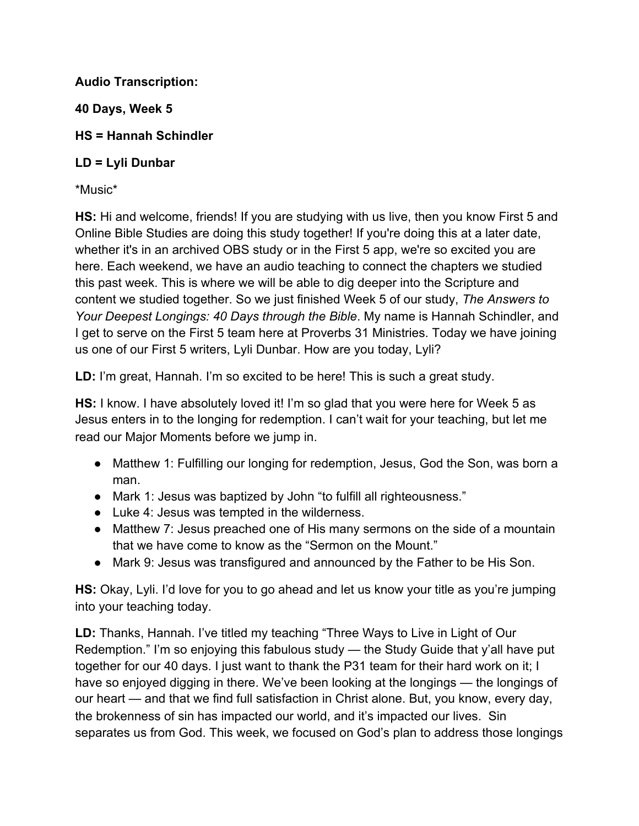**Audio Transcription:**

**40 Days, Week 5**

**HS = Hannah Schindler**

# **LD = Lyli Dunbar**

\*Music\*

**HS:** Hi and welcome, friends! If you are studying with us live, then you know First 5 and Online Bible Studies are doing this study together! If you're doing this at a later date, whether it's in an archived OBS study or in the First 5 app, we're so excited you are here. Each weekend, we have an audio teaching to connect the chapters we studied this past week. This is where we will be able to dig deeper into the Scripture and content we studied together. So we just finished Week 5 of our study, *The Answers to Your Deepest Longings: 40 Days through the Bible*. My name is Hannah Schindler, and I get to serve on the First 5 team here at Proverbs 31 Ministries. Today we have joining us one of our First 5 writers, Lyli Dunbar. How are you today, Lyli?

**LD:** I'm great, Hannah. I'm so excited to be here! This is such a great study.

**HS:** I know. I have absolutely loved it! I'm so glad that you were here for Week 5 as Jesus enters in to the longing for redemption. I can't wait for your teaching, but let me read our Major Moments before we jump in.

- Matthew 1: Fulfilling our longing for redemption, Jesus, God the Son, was born a man.
- Mark 1: Jesus was baptized by John "to fulfill all righteousness."
- Luke 4: Jesus was tempted in the wilderness.
- Matthew 7: Jesus preached one of His many sermons on the side of a mountain that we have come to know as the "Sermon on the Mount."
- Mark 9: Jesus was transfigured and announced by the Father to be His Son.

**HS:** Okay, Lyli. I'd love for you to go ahead and let us know your title as you're jumping into your teaching today.

**LD:** Thanks, Hannah. I've titled my teaching "Three Ways to Live in Light of Our Redemption." I'm so enjoying this fabulous study — the Study Guide that y'all have put together for our 40 days. I just want to thank the P31 team for their hard work on it; I have so enjoyed digging in there. We've been looking at the longings — the longings of our heart — and that we find full satisfaction in Christ alone. But, you know, every day, the brokenness of sin has impacted our world, and it's impacted our lives. Sin separates us from God. This week, we focused on God's plan to address those longings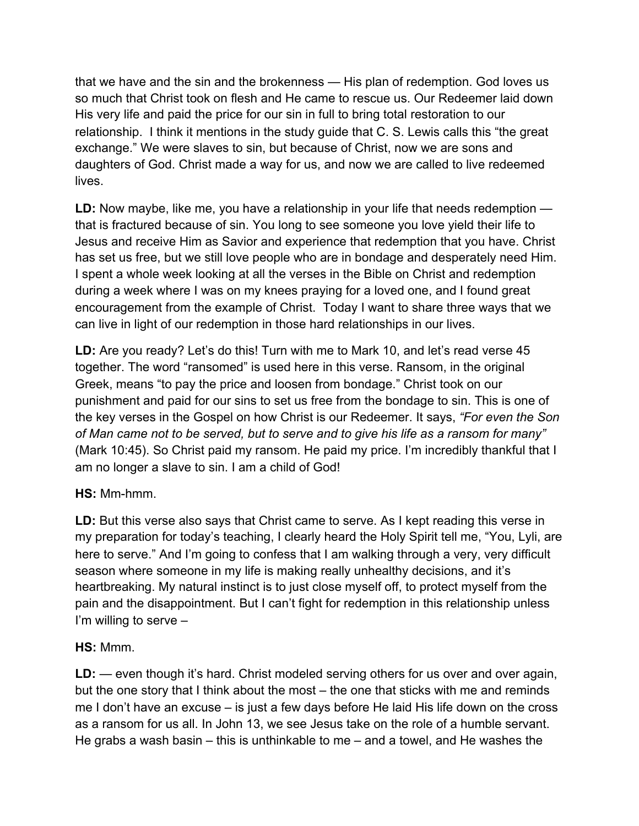that we have and the sin and the brokenness — His plan of redemption. God loves us so much that Christ took on flesh and He came to rescue us. Our Redeemer laid down His very life and paid the price for our sin in full to bring total restoration to our relationship. I think it mentions in the study guide that C. S. Lewis calls this "the great exchange." We were slaves to sin, but because of Christ, now we are sons and daughters of God. Christ made a way for us, and now we are called to live redeemed lives.

**LD:** Now maybe, like me, you have a relationship in your life that needs redemption that is fractured because of sin. You long to see someone you love yield their life to Jesus and receive Him as Savior and experience that redemption that you have. Christ has set us free, but we still love people who are in bondage and desperately need Him. I spent a whole week looking at all the verses in the Bible on Christ and redemption during a week where I was on my knees praying for a loved one, and I found great encouragement from the example of Christ. Today I want to share three ways that we can live in light of our redemption in those hard relationships in our lives.

**LD:** Are you ready? Let's do this! Turn with me to Mark 10, and let's read verse 45 together. The word "ransomed" is used here in this verse. Ransom, in the original Greek, means "to pay the price and loosen from bondage." Christ took on our punishment and paid for our sins to set us free from the bondage to sin. This is one of the key verses in the Gospel on how Christ is our Redeemer. It says, *"For even the Son of Man came not to be served, but to serve and to give his life as a ransom for many"* (Mark 10:45). So Christ paid my ransom. He paid my price. I'm incredibly thankful that I am no longer a slave to sin. I am a child of God!

## **HS:** Mm-hmm.

**LD:** But this verse also says that Christ came to serve. As I kept reading this verse in my preparation for today's teaching, I clearly heard the Holy Spirit tell me, "You, Lyli, are here to serve." And I'm going to confess that I am walking through a very, very difficult season where someone in my life is making really unhealthy decisions, and it's heartbreaking. My natural instinct is to just close myself off, to protect myself from the pain and the disappointment. But I can't fight for redemption in this relationship unless I'm willing to serve –

## **HS:** Mmm.

**LD:** — even though it's hard. Christ modeled serving others for us over and over again, but the one story that I think about the most – the one that sticks with me and reminds me I don't have an excuse – is just a few days before He laid His life down on the cross as a ransom for us all. In John 13, we see Jesus take on the role of a humble servant. He grabs a wash basin – this is unthinkable to me – and a towel, and He washes the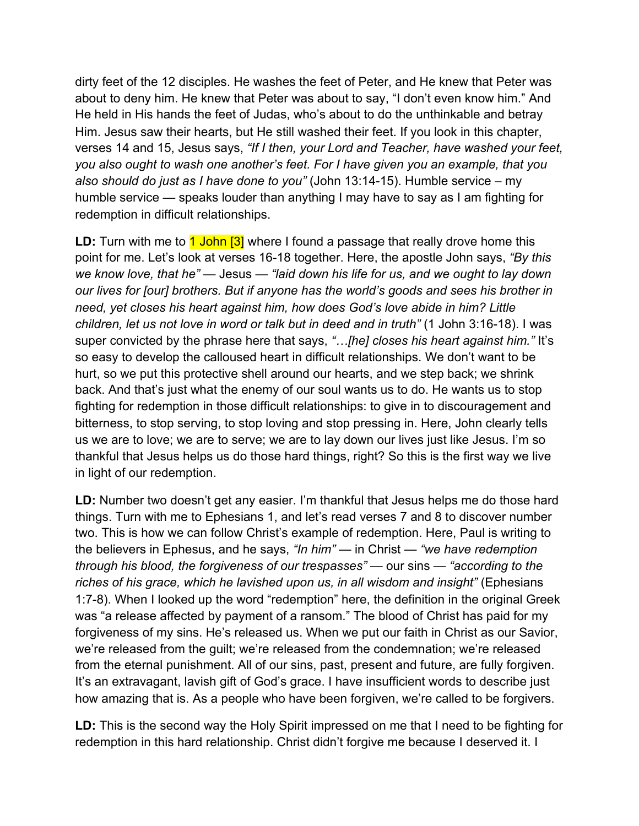dirty feet of the 12 disciples. He washes the feet of Peter, and He knew that Peter was about to deny him. He knew that Peter was about to say, "I don't even know him." And He held in His hands the feet of Judas, who's about to do the unthinkable and betray Him. Jesus saw their hearts, but He still washed their feet. If you look in this chapter, verses 14 and 15, Jesus says, *"If I then, your Lord and Teacher, have washed your feet, you also ought to wash one another's feet. For I have given you an example, that you also should do just as I have done to you"* (John 13:14-15). Humble service – my humble service — speaks louder than anything I may have to say as I am fighting for redemption in difficult relationships.

**LD:** Turn with me to 1 John [3] where I found a passage that really drove home this point for me. Let's look at verses 16-18 together. Here, the apostle John says, *"By this we know love, that he"* — Jesus — *"laid down his life for us, and we ought to lay down our lives for [our] brothers. But if anyone has the world's goods and sees his brother in need, yet closes his heart against him, how does God's love abide in him? Little children, let us not love in word or talk but in deed and in truth"* (1 John 3:16-18). I was super convicted by the phrase here that says, *"…[he] closes his heart against him."* It's so easy to develop the calloused heart in difficult relationships. We don't want to be hurt, so we put this protective shell around our hearts, and we step back; we shrink back. And that's just what the enemy of our soul wants us to do. He wants us to stop fighting for redemption in those difficult relationships: to give in to discouragement and bitterness, to stop serving, to stop loving and stop pressing in. Here, John clearly tells us we are to love; we are to serve; we are to lay down our lives just like Jesus. I'm so thankful that Jesus helps us do those hard things, right? So this is the first way we live in light of our redemption.

**LD:** Number two doesn't get any easier. I'm thankful that Jesus helps me do those hard things. Turn with me to Ephesians 1, and let's read verses 7 and 8 to discover number two. This is how we can follow Christ's example of redemption. Here, Paul is writing to the believers in Ephesus, and he says, *"In him" —* in Christ — *"we have redemption through his blood, the forgiveness of our trespasses"* — our sins — *"according to the riches of his grace, which he lavished upon us, in all wisdom and insight"* (Ephesians 1:7-8). When I looked up the word "redemption" here, the definition in the original Greek was "a release affected by payment of a ransom." The blood of Christ has paid for my forgiveness of my sins. He's released us. When we put our faith in Christ as our Savior, we're released from the guilt; we're released from the condemnation; we're released from the eternal punishment. All of our sins, past, present and future, are fully forgiven. It's an extravagant, lavish gift of God's grace. I have insufficient words to describe just how amazing that is. As a people who have been forgiven, we're called to be forgivers.

**LD:** This is the second way the Holy Spirit impressed on me that I need to be fighting for redemption in this hard relationship. Christ didn't forgive me because I deserved it. I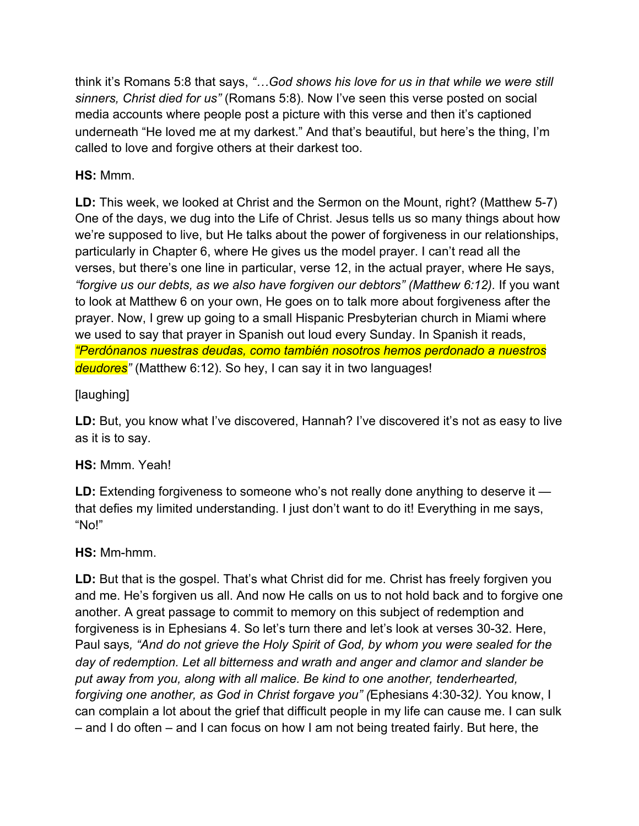think it's Romans 5:8 that says, *"…God shows his love for us in that while we were still sinners, Christ died for us"* (Romans 5:8). Now I've seen this verse posted on social media accounts where people post a picture with this verse and then it's captioned underneath "He loved me at my darkest." And that's beautiful, but here's the thing, I'm called to love and forgive others at their darkest too.

# **HS:** Mmm.

**LD:** This week, we looked at Christ and the Sermon on the Mount, right? (Matthew 5-7) One of the days, we dug into the Life of Christ. Jesus tells us so many things about how we're supposed to live, but He talks about the power of forgiveness in our relationships, particularly in Chapter 6, where He gives us the model prayer. I can't read all the verses, but there's one line in particular, verse 12, in the actual prayer, where He says, *"forgive us our debts, as we also have forgiven our debtors" (Matthew 6:12).* If you want to look at Matthew 6 on your own, He goes on to talk more about forgiveness after the prayer. Now, I grew up going to a small Hispanic Presbyterian church in Miami where we used to say that prayer in Spanish out loud every Sunday. In Spanish it reads, *"Perdónanos nuestras deudas, como también nosotros hemos perdonado a nuestros deudores"* (Matthew 6:12). So hey, I can say it in two languages!

# [laughing]

**LD:** But, you know what I've discovered, Hannah? I've discovered it's not as easy to live as it is to say.

## **HS:** Mmm. Yeah!

**LD:** Extending forgiveness to someone who's not really done anything to deserve it that defies my limited understanding. I just don't want to do it! Everything in me says, "No!"

## **HS:** Mm-hmm.

**LD:** But that is the gospel. That's what Christ did for me. Christ has freely forgiven you and me. He's forgiven us all. And now He calls on us to not hold back and to forgive one another. A great passage to commit to memory on this subject of redemption and forgiveness is in Ephesians 4. So let's turn there and let's look at verses 30-32. Here, Paul says*, "And do not grieve the Holy Spirit of God, by whom you were sealed for the day of redemption. Let all bitterness and wrath and anger and clamor and slander be put away from you, along with all malice. Be kind to one another, tenderhearted, forgiving one another, as God in Christ forgave you" (*Ephesians 4:30-32*).* You know, I can complain a lot about the grief that difficult people in my life can cause me. I can sulk – and I do often – and I can focus on how I am not being treated fairly. But here, the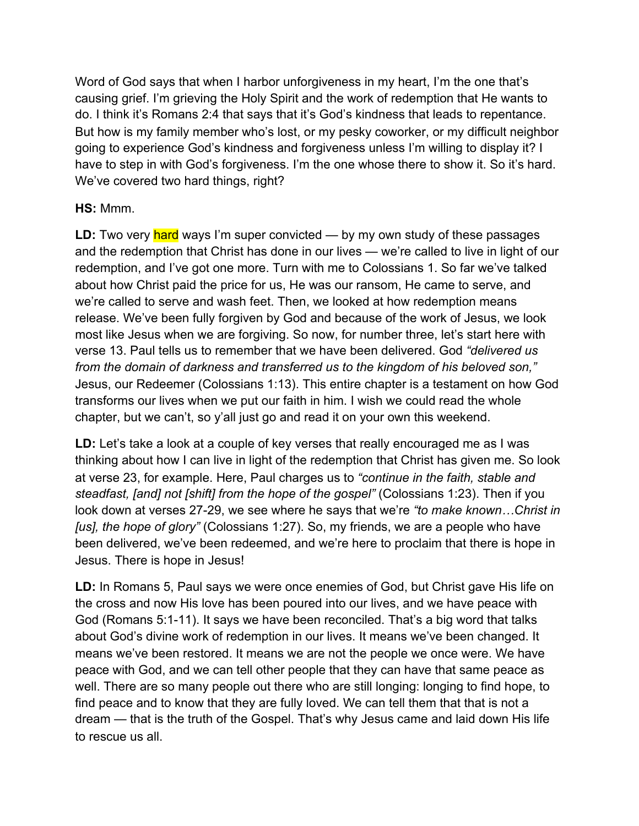Word of God says that when I harbor unforgiveness in my heart, I'm the one that's causing grief. I'm grieving the Holy Spirit and the work of redemption that He wants to do. I think it's Romans 2:4 that says that it's God's kindness that leads to repentance. But how is my family member who's lost, or my pesky coworker, or my difficult neighbor going to experience God's kindness and forgiveness unless I'm willing to display it? I have to step in with God's forgiveness. I'm the one whose there to show it. So it's hard. We've covered two hard things, right?

## **HS:** Mmm.

LD: Two very hard ways I'm super convicted — by my own study of these passages and the redemption that Christ has done in our lives — we're called to live in light of our redemption, and I've got one more. Turn with me to Colossians 1. So far we've talked about how Christ paid the price for us, He was our ransom, He came to serve, and we're called to serve and wash feet. Then, we looked at how redemption means release. We've been fully forgiven by God and because of the work of Jesus, we look most like Jesus when we are forgiving. So now, for number three, let's start here with verse 13. Paul tells us to remember that we have been delivered. God *"delivered us from the domain of darkness and transferred us to the kingdom of his beloved son,"* Jesus, our Redeemer (Colossians 1:13). This entire chapter is a testament on how God transforms our lives when we put our faith in him. I wish we could read the whole chapter, but we can't, so y'all just go and read it on your own this weekend.

LD: Let's take a look at a couple of key verses that really encouraged me as I was thinking about how I can live in light of the redemption that Christ has given me. So look at verse 23, for example. Here, Paul charges us to *"continue in the faith, stable and steadfast, [and] not [shift] from the hope of the gospel"* (Colossians 1:23). Then if you look down at verses 27-29, we see where he says that we're *"to make known…Christ in [us], the hope of glory"* (Colossians 1:27). So, my friends, we are a people who have been delivered, we've been redeemed, and we're here to proclaim that there is hope in Jesus. There is hope in Jesus!

**LD:** In Romans 5, Paul says we were once enemies of God, but Christ gave His life on the cross and now His love has been poured into our lives, and we have peace with God (Romans 5:1-11). It says we have been reconciled. That's a big word that talks about God's divine work of redemption in our lives. It means we've been changed. It means we've been restored. It means we are not the people we once were. We have peace with God, and we can tell other people that they can have that same peace as well. There are so many people out there who are still longing: longing to find hope, to find peace and to know that they are fully loved. We can tell them that that is not a dream — that is the truth of the Gospel. That's why Jesus came and laid down His life to rescue us all.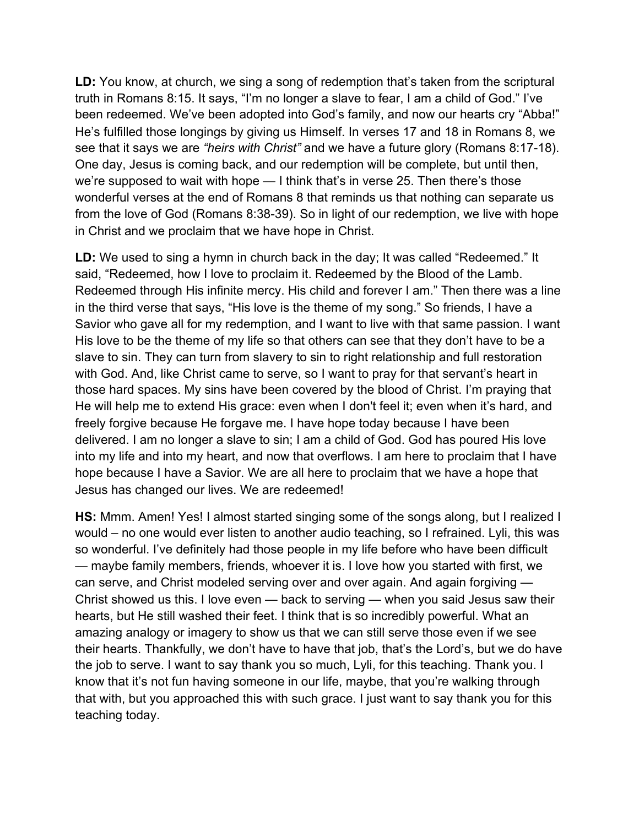LD: You know, at church, we sing a song of redemption that's taken from the scriptural truth in Romans 8:15. It says, "I'm no longer a slave to fear, I am a child of God." I've been redeemed. We've been adopted into God's family, and now our hearts cry "Abba!" He's fulfilled those longings by giving us Himself. In verses 17 and 18 in Romans 8, we see that it says we are *"heirs with Christ"* and we have a future glory (Romans 8:17-18). One day, Jesus is coming back, and our redemption will be complete, but until then, we're supposed to wait with hope — I think that's in verse 25. Then there's those wonderful verses at the end of Romans 8 that reminds us that nothing can separate us from the love of God (Romans 8:38-39). So in light of our redemption, we live with hope in Christ and we proclaim that we have hope in Christ.

LD: We used to sing a hymn in church back in the day; It was called "Redeemed." It said, "Redeemed, how I love to proclaim it. Redeemed by the Blood of the Lamb. Redeemed through His infinite mercy. His child and forever I am." Then there was a line in the third verse that says, "His love is the theme of my song." So friends, I have a Savior who gave all for my redemption, and I want to live with that same passion. I want His love to be the theme of my life so that others can see that they don't have to be a slave to sin. They can turn from slavery to sin to right relationship and full restoration with God. And, like Christ came to serve, so I want to pray for that servant's heart in those hard spaces. My sins have been covered by the blood of Christ. I'm praying that He will help me to extend His grace: even when I don't feel it; even when it's hard, and freely forgive because He forgave me. I have hope today because I have been delivered. I am no longer a slave to sin; I am a child of God. God has poured His love into my life and into my heart, and now that overflows. I am here to proclaim that I have hope because I have a Savior. We are all here to proclaim that we have a hope that Jesus has changed our lives. We are redeemed!

**HS:** Mmm. Amen! Yes! I almost started singing some of the songs along, but I realized I would – no one would ever listen to another audio teaching, so I refrained. Lyli, this was so wonderful. I've definitely had those people in my life before who have been difficult — maybe family members, friends, whoever it is. I love how you started with first, we can serve, and Christ modeled serving over and over again. And again forgiving — Christ showed us this. I love even — back to serving — when you said Jesus saw their hearts, but He still washed their feet. I think that is so incredibly powerful. What an amazing analogy or imagery to show us that we can still serve those even if we see their hearts. Thankfully, we don't have to have that job, that's the Lord's, but we do have the job to serve. I want to say thank you so much, Lyli, for this teaching. Thank you. I know that it's not fun having someone in our life, maybe, that you're walking through that with, but you approached this with such grace. I just want to say thank you for this teaching today.